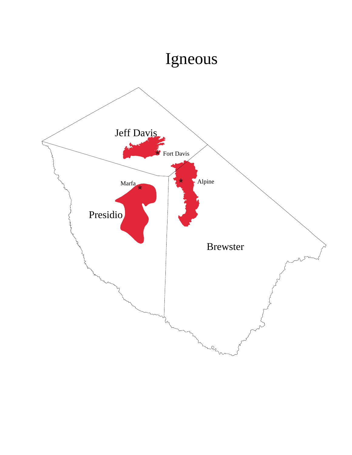